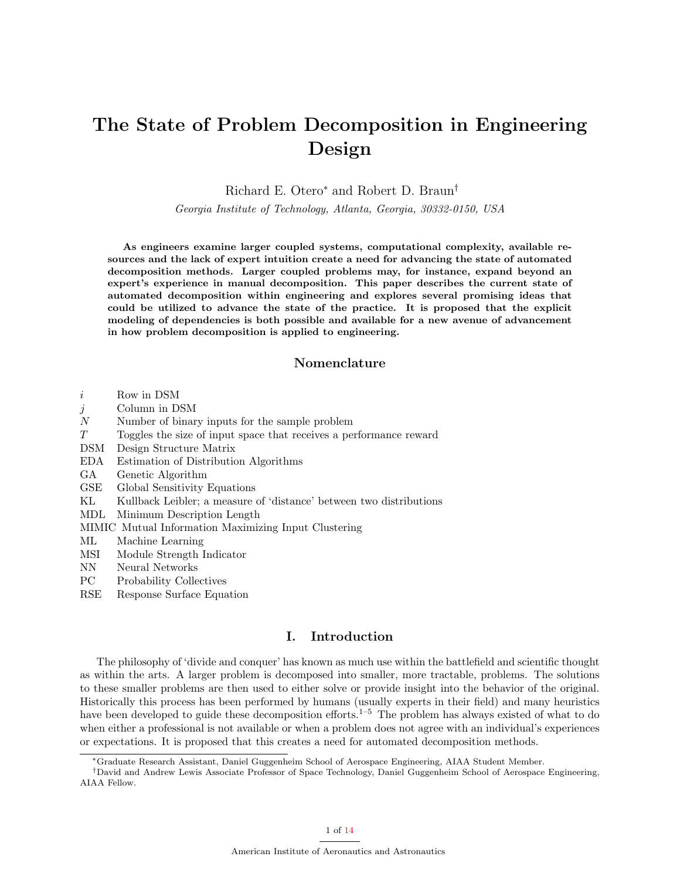# The State of Problem Decomposition in Engineering Design

Richard E. Otero<sup>∗</sup> and Robert D. Braun†

Georgia Institute of Technology, Atlanta, Georgia, 30332-0150, USA

As engineers examine larger coupled systems, computational complexity, available resources and the lack of expert intuition create a need for advancing the state of automated decomposition methods. Larger coupled problems may, for instance, expand beyond an expert's experience in manual decomposition. This paper describes the current state of automated decomposition within engineering and explores several promising ideas that could be utilized to advance the state of the practice. It is proposed that the explicit modeling of dependencies is both possible and available for a new avenue of advancement in how problem decomposition is applied to engineering.

# Nomenclature

- i Row in DSM
- $j$  Column in DSM
- N Number of binary inputs for the sample problem
- T Toggles the size of input space that receives a performance reward
- DSM Design Structure Matrix
- EDA Estimation of Distribution Algorithms
- GA Genetic Algorithm
- GSE Global Sensitivity Equations
- KL Kullback Leibler; a measure of 'distance' between two distributions
- MDL Minimum Description Length
- MIMIC Mutual Information Maximizing Input Clustering
- ML Machine Learning
- MSI Module Strength Indicator
- NN Neural Networks
- PC Probability Collectives
- RSE Response Surface Equation

# I. Introduction

The philosophy of 'divide and conquer' has known as much use within the battlefield and scientific thought as within the arts. A larger problem is decomposed into smaller, more tractable, problems. The solutions to these smaller problems are then used to either solve or provide insight into the behavior of the original. Historically this process has been performed by humans (usually experts in their field) and many heuristics have been developed to guide these decomposition efforts.<sup>1–5</sup> The problem has always existed of what to do when either a professional is not available or when a problem does not agree with an individual's experiences or expectations. It is proposed that this creates a need for automated decomposition methods.

<sup>∗</sup>Graduate Research Assistant, Daniel Guggenheim School of Aerospace Engineering, AIAA Student Member.

<sup>†</sup>David and Andrew Lewis Associate Professor of Space Technology, Daniel Guggenheim School of Aerospace Engineering, AIAA Fellow.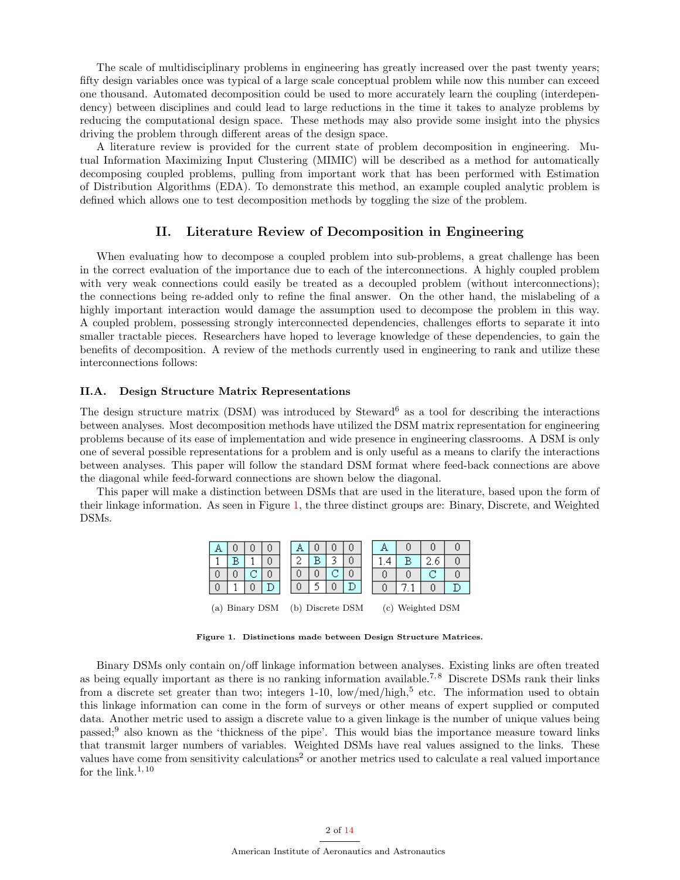The scale of multidisciplinary problems in engineering has greatly increased over the past twenty years; fifty design variables once was typical of a large scale conceptual problem while now this number can exceed one thousand. Automated decomposition could be used to more accurately learn the coupling (interdependency) between disciplines and could lead to large reductions in the time it takes to analyze problems by reducing the computational design space. These methods may also provide some insight into the physics driving the problem through different areas of the design space.

A literature review is provided for the current state of problem decomposition in engineering. Mutual Information Maximizing Input Clustering (MIMIC) will be described as a method for automatically decomposing coupled problems, pulling from important work that has been performed with Estimation of Distribution Algorithms (EDA). To demonstrate this method, an example coupled analytic problem is defined which allows one to test decomposition methods by toggling the size of the problem.

# II. Literature Review of Decomposition in Engineering

When evaluating how to decompose a coupled problem into sub-problems, a great challenge has been in the correct evaluation of the importance due to each of the interconnections. A highly coupled problem with very weak connections could easily be treated as a decoupled problem (without interconnections); the connections being re-added only to refine the final answer. On the other hand, the mislabeling of a highly important interaction would damage the assumption used to decompose the problem in this way. A coupled problem, possessing strongly interconnected dependencies, challenges efforts to separate it into smaller tractable pieces. Researchers have hoped to leverage knowledge of these dependencies, to gain the benefits of decomposition. A review of the methods currently used in engineering to rank and utilize these interconnections follows:

### II.A. Design Structure Matrix Representations

The design structure matrix (DSM) was introduced by Steward<sup>6</sup> as a tool for describing the interactions between analyses. Most decomposition methods have utilized the DSM matrix representation for engineering problems because of its ease of implementation and wide presence in engineering classrooms. A DSM is only one of several possible representations for a problem and is only useful as a means to clarify the interactions between analyses. This paper will follow the standard DSM format where feed-back connections are above the diagonal while feed-forward connections are shown below the diagonal.

This paper will make a distinction between DSMs that are used in the literature, based upon the form of their linkage information. As seen in Figure [1,](#page-1-0) the three distinct groups are: Binary, Discrete, and Weighted DSMs.

| (a) Binary DSM<br>(b) Discrete DSM<br>Weighted DSM |  |  |  |  |  |  |  |  |  |  |
|----------------------------------------------------|--|--|--|--|--|--|--|--|--|--|

<span id="page-1-0"></span>Figure 1. Distinctions made between Design Structure Matrices.

Binary DSMs only contain on/off linkage information between analyses. Existing links are often treated as being equally important as there is no ranking information available.<sup>7,8</sup> Discrete DSMs rank their links from a discrete set greater than two; integers 1-10, low/med/high,<sup>5</sup> etc. The information used to obtain this linkage information can come in the form of surveys or other means of expert supplied or computed data. Another metric used to assign a discrete value to a given linkage is the number of unique values being passed;<sup>9</sup> also known as the 'thickness of the pipe'. This would bias the importance measure toward links that transmit larger numbers of variables. Weighted DSMs have real values assigned to the links. These values have come from sensitivity calculations<sup>2</sup> or another metrics used to calculate a real valued importance for the link.<sup>1, 10</sup>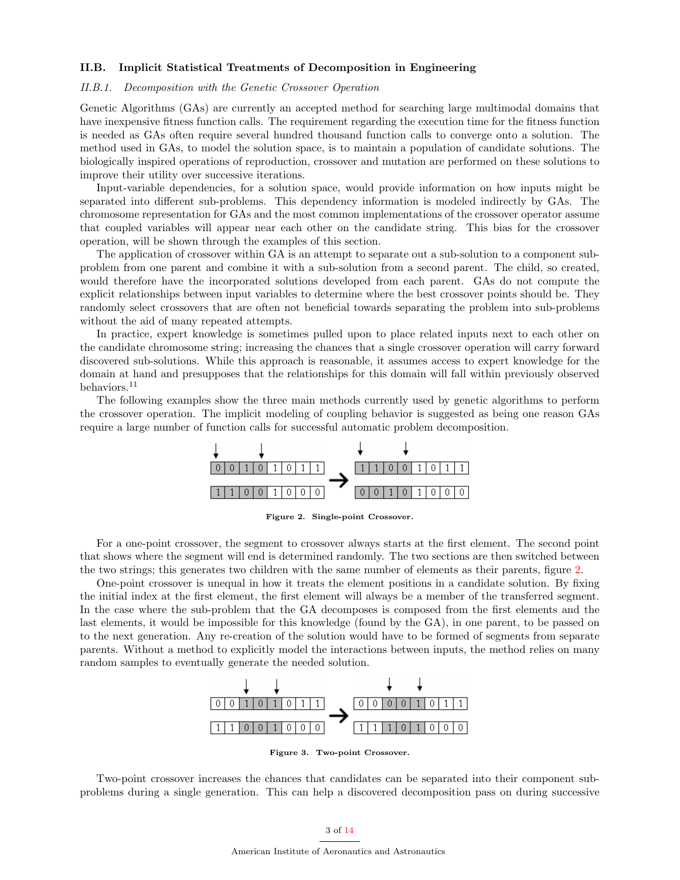### II.B. Implicit Statistical Treatments of Decomposition in Engineering

#### II.B.1. Decomposition with the Genetic Crossover Operation

Genetic Algorithms (GAs) are currently an accepted method for searching large multimodal domains that have inexpensive fitness function calls. The requirement regarding the execution time for the fitness function is needed as GAs often require several hundred thousand function calls to converge onto a solution. The method used in GAs, to model the solution space, is to maintain a population of candidate solutions. The biologically inspired operations of reproduction, crossover and mutation are performed on these solutions to improve their utility over successive iterations.

Input-variable dependencies, for a solution space, would provide information on how inputs might be separated into different sub-problems. This dependency information is modeled indirectly by GAs. The chromosome representation for GAs and the most common implementations of the crossover operator assume that coupled variables will appear near each other on the candidate string. This bias for the crossover operation, will be shown through the examples of this section.

The application of crossover within GA is an attempt to separate out a sub-solution to a component subproblem from one parent and combine it with a sub-solution from a second parent. The child, so created, would therefore have the incorporated solutions developed from each parent. GAs do not compute the explicit relationships between input variables to determine where the best crossover points should be. They randomly select crossovers that are often not beneficial towards separating the problem into sub-problems without the aid of many repeated attempts.

In practice, expert knowledge is sometimes pulled upon to place related inputs next to each other on the candidate chromosome string; increasing the chances that a single crossover operation will carry forward discovered sub-solutions. While this approach is reasonable, it assumes access to expert knowledge for the domain at hand and presupposes that the relationships for this domain will fall within previously observed behaviors.<sup>11</sup>

The following examples show the three main methods currently used by genetic algorithms to perform the crossover operation. The implicit modeling of coupling behavior is suggested as being one reason GAs require a large number of function calls for successful automatic problem decomposition.



<span id="page-2-0"></span>Figure 2. Single-point Crossover.

For a one-point crossover, the segment to crossover always starts at the first element. The second point that shows where the segment will end is determined randomly. The two sections are then switched between the two strings; this generates two children with the same number of elements as their parents, figure [2.](#page-2-0)

One-point crossover is unequal in how it treats the element positions in a candidate solution. By fixing the initial index at the first element, the first element will always be a member of the transferred segment. In the case where the sub-problem that the GA decomposes is composed from the first elements and the last elements, it would be impossible for this knowledge (found by the GA), in one parent, to be passed on to the next generation. Any re-creation of the solution would have to be formed of segments from separate parents. Without a method to explicitly model the interactions between inputs, the method relies on many random samples to eventually generate the needed solution.



<span id="page-2-1"></span>Figure 3. Two-point Crossover.

Two-point crossover increases the chances that candidates can be separated into their component subproblems during a single generation. This can help a discovered decomposition pass on during successive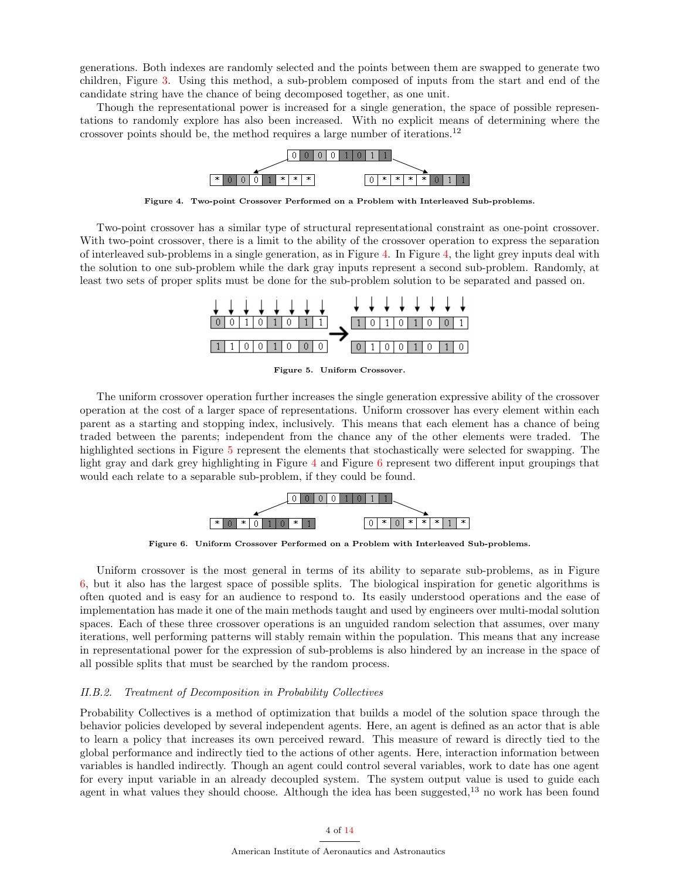generations. Both indexes are randomly selected and the points between them are swapped to generate two children, Figure [3.](#page-2-1) Using this method, a sub-problem composed of inputs from the start and end of the candidate string have the chance of being decomposed together, as one unit.

Though the representational power is increased for a single generation, the space of possible representations to randomly explore has also been increased. With no explicit means of determining where the crossover points should be, the method requires a large number of iterations.<sup>12</sup>



<span id="page-3-0"></span>Figure 4. Two-point Crossover Performed on a Problem with Interleaved Sub-problems.

Two-point crossover has a similar type of structural representational constraint as one-point crossover. With two-point crossover, there is a limit to the ability of the crossover operation to express the separation of interleaved sub-problems in a single generation, as in Figure [4.](#page-3-0) In Figure [4,](#page-3-0) the light grey inputs deal with the solution to one sub-problem while the dark gray inputs represent a second sub-problem. Randomly, at least two sets of proper splits must be done for the sub-problem solution to be separated and passed on.



<span id="page-3-1"></span>Figure 5. Uniform Crossover.

The uniform crossover operation further increases the single generation expressive ability of the crossover operation at the cost of a larger space of representations. Uniform crossover has every element within each parent as a starting and stopping index, inclusively. This means that each element has a chance of being traded between the parents; independent from the chance any of the other elements were traded. The highlighted sections in Figure [5](#page-3-1) represent the elements that stochastically were selected for swapping. The light gray and dark grey highlighting in Figure [4](#page-3-0) and Figure [6](#page-3-2) represent two different input groupings that would each relate to a separable sub-problem, if they could be found.



<span id="page-3-2"></span>Figure 6. Uniform Crossover Performed on a Problem with Interleaved Sub-problems.

Uniform crossover is the most general in terms of its ability to separate sub-problems, as in Figure [6,](#page-3-2) but it also has the largest space of possible splits. The biological inspiration for genetic algorithms is often quoted and is easy for an audience to respond to. Its easily understood operations and the ease of implementation has made it one of the main methods taught and used by engineers over multi-modal solution spaces. Each of these three crossover operations is an unguided random selection that assumes, over many iterations, well performing patterns will stably remain within the population. This means that any increase in representational power for the expression of sub-problems is also hindered by an increase in the space of all possible splits that must be searched by the random process.

#### II.B.2. Treatment of Decomposition in Probability Collectives

Probability Collectives is a method of optimization that builds a model of the solution space through the behavior policies developed by several independent agents. Here, an agent is defined as an actor that is able to learn a policy that increases its own perceived reward. This measure of reward is directly tied to the global performance and indirectly tied to the actions of other agents. Here, interaction information between variables is handled indirectly. Though an agent could control several variables, work to date has one agent for every input variable in an already decoupled system. The system output value is used to guide each agent in what values they should choose. Although the idea has been suggested,<sup>13</sup> no work has been found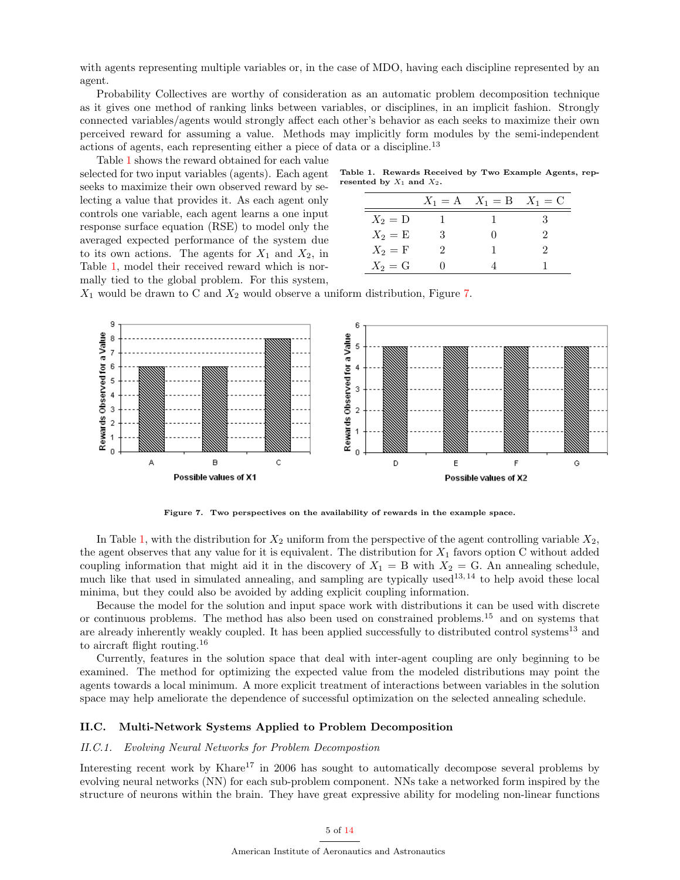with agents representing multiple variables or, in the case of MDO, having each discipline represented by an agent.

Probability Collectives are worthy of consideration as an automatic problem decomposition technique as it gives one method of ranking links between variables, or disciplines, in an implicit fashion. Strongly connected variables/agents would strongly affect each other's behavior as each seeks to maximize their own perceived reward for assuming a value. Methods may implicitly form modules by the semi-independent actions of agents, each representing either a piece of data or a discipline.<sup>13</sup>

Table [1](#page-4-0) shows the reward obtained for each value selected for two input variables (agents). Each agent seeks to maximize their own observed reward by selecting a value that provides it. As each agent only controls one variable, each agent learns a one input response surface equation (RSE) to model only the averaged expected performance of the system due to its own actions. The agents for  $X_1$  and  $X_2$ , in Table [1,](#page-4-0) model their received reward which is normally tied to the global problem. For this system,

Table 1. Rewards Received by Two Example Agents, represented by  $X_1$  and  $X_2$ .

<span id="page-4-0"></span>

|           |   | $X_1 = A \quad X_1 = B \quad X_1 = C$ |    |
|-----------|---|---------------------------------------|----|
| $X_2 = D$ |   |                                       |    |
| $X_2 = E$ | 3 |                                       | '2 |
| $X_2 = F$ | 2 |                                       | '2 |
| $X_2 = G$ |   |                                       |    |

 $X_1$  would be drawn to C and  $X_2$  would observe a uniform distribution, Figure [7.](#page-4-1)



<span id="page-4-1"></span>Figure 7. Two perspectives on the availability of rewards in the example space.

In Table [1,](#page-4-0) with the distribution for  $X_2$  uniform from the perspective of the agent controlling variable  $X_2$ , the agent observes that any value for it is equivalent. The distribution for  $X_1$  favors option C without added coupling information that might aid it in the discovery of  $X_1 = B$  with  $X_2 = G$ . An annealing schedule, much like that used in simulated annealing, and sampling are typically used $^{13, 14}$  to help avoid these local minima, but they could also be avoided by adding explicit coupling information.

Because the model for the solution and input space work with distributions it can be used with discrete or continuous problems. The method has also been used on constrained problems.<sup>15</sup> and on systems that are already inherently weakly coupled. It has been applied successfully to distributed control systems<sup>13</sup> and to aircraft flight routing.<sup>16</sup>

Currently, features in the solution space that deal with inter-agent coupling are only beginning to be examined. The method for optimizing the expected value from the modeled distributions may point the agents towards a local minimum. A more explicit treatment of interactions between variables in the solution space may help ameliorate the dependence of successful optimization on the selected annealing schedule.

#### II.C. Multi-Network Systems Applied to Problem Decomposition

# II.C.1. Evolving Neural Networks for Problem Decompostion

Interesting recent work by Khare<sup>17</sup> in 2006 has sought to automatically decompose several problems by evolving neural networks (NN) for each sub-problem component. NNs take a networked form inspired by the structure of neurons within the brain. They have great expressive ability for modeling non-linear functions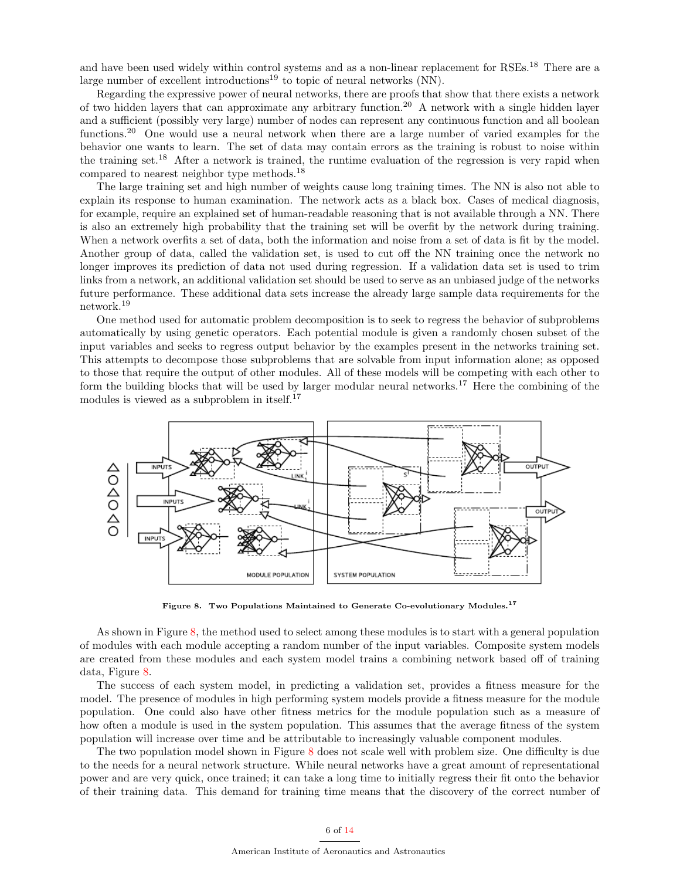and have been used widely within control systems and as a non-linear replacement for RSEs.<sup>18</sup> There are a large number of excellent introductions<sup>19</sup> to topic of neural networks  $(NN)$ .

Regarding the expressive power of neural networks, there are proofs that show that there exists a network of two hidden layers that can approximate any arbitrary function.<sup>20</sup> A network with a single hidden layer and a sufficient (possibly very large) number of nodes can represent any continuous function and all boolean functions.<sup>20</sup> One would use a neural network when there are a large number of varied examples for the behavior one wants to learn. The set of data may contain errors as the training is robust to noise within the training set.<sup>18</sup> After a network is trained, the runtime evaluation of the regression is very rapid when compared to nearest neighbor type methods.<sup>18</sup>

The large training set and high number of weights cause long training times. The NN is also not able to explain its response to human examination. The network acts as a black box. Cases of medical diagnosis, for example, require an explained set of human-readable reasoning that is not available through a NN. There is also an extremely high probability that the training set will be overfit by the network during training. When a network overfits a set of data, both the information and noise from a set of data is fit by the model. Another group of data, called the validation set, is used to cut off the NN training once the network no longer improves its prediction of data not used during regression. If a validation data set is used to trim links from a network, an additional validation set should be used to serve as an unbiased judge of the networks future performance. These additional data sets increase the already large sample data requirements for the network.<sup>19</sup>

One method used for automatic problem decomposition is to seek to regress the behavior of subproblems automatically by using genetic operators. Each potential module is given a randomly chosen subset of the input variables and seeks to regress output behavior by the examples present in the networks training set. This attempts to decompose those subproblems that are solvable from input information alone; as opposed to those that require the output of other modules. All of these models will be competing with each other to form the building blocks that will be used by larger modular neural networks.<sup>17</sup> Here the combining of the modules is viewed as a subproblem in itself.<sup>17</sup>



<span id="page-5-0"></span>Figure 8. Two Populations Maintained to Generate Co-evolutionary Modules.<sup>17</sup>

As shown in Figure [8,](#page-5-0) the method used to select among these modules is to start with a general population of modules with each module accepting a random number of the input variables. Composite system models are created from these modules and each system model trains a combining network based off of training data, Figure [8.](#page-5-0)

The success of each system model, in predicting a validation set, provides a fitness measure for the model. The presence of modules in high performing system models provide a fitness measure for the module population. One could also have other fitness metrics for the module population such as a measure of how often a module is used in the system population. This assumes that the average fitness of the system population will increase over time and be attributable to increasingly valuable component modules.

The two population model shown in Figure [8](#page-5-0) does not scale well with problem size. One difficulty is due to the needs for a neural network structure. While neural networks have a great amount of representational power and are very quick, once trained; it can take a long time to initially regress their fit onto the behavior of their training data. This demand for training time means that the discovery of the correct number of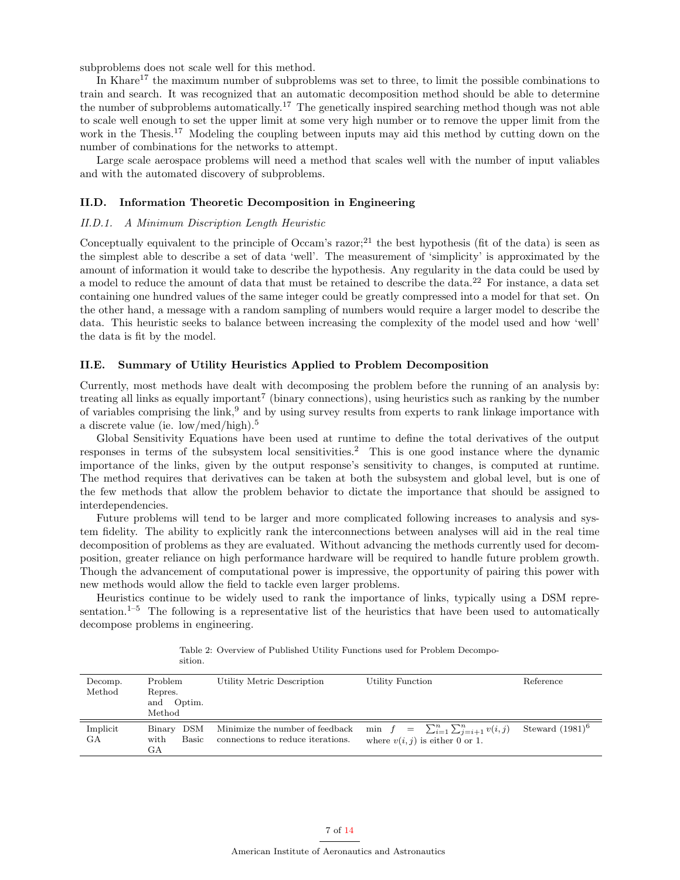subproblems does not scale well for this method.

In Khare<sup>17</sup> the maximum number of subproblems was set to three, to limit the possible combinations to train and search. It was recognized that an automatic decomposition method should be able to determine the number of subproblems automatically.<sup>17</sup> The genetically inspired searching method though was not able to scale well enough to set the upper limit at some very high number or to remove the upper limit from the work in the Thesis.<sup>17</sup> Modeling the coupling between inputs may aid this method by cutting down on the number of combinations for the networks to attempt.

Large scale aerospace problems will need a method that scales well with the number of input valiables and with the automated discovery of subproblems.

#### II.D. Information Theoretic Decomposition in Engineering

#### II.D.1. A Minimum Discription Length Heuristic

Conceptually equivalent to the principle of Occam's razor;<sup>21</sup> the best hypothesis (fit of the data) is seen as the simplest able to describe a set of data 'well'. The measurement of 'simplicity' is approximated by the amount of information it would take to describe the hypothesis. Any regularity in the data could be used by a model to reduce the amount of data that must be retained to describe the data.<sup>22</sup> For instance, a data set containing one hundred values of the same integer could be greatly compressed into a model for that set. On the other hand, a message with a random sampling of numbers would require a larger model to describe the data. This heuristic seeks to balance between increasing the complexity of the model used and how 'well' the data is fit by the model.

#### II.E. Summary of Utility Heuristics Applied to Problem Decomposition

Currently, most methods have dealt with decomposing the problem before the running of an analysis by: treating all links as equally important<sup>7</sup> (binary connections), using heuristics such as ranking by the number of variables comprising the link, $9$  and by using survey results from experts to rank linkage importance with a discrete value (ie. low/med/high).<sup>5</sup>

Global Sensitivity Equations have been used at runtime to define the total derivatives of the output responses in terms of the subsystem local sensitivities.<sup>2</sup> This is one good instance where the dynamic importance of the links, given by the output response's sensitivity to changes, is computed at runtime. The method requires that derivatives can be taken at both the subsystem and global level, but is one of the few methods that allow the problem behavior to dictate the importance that should be assigned to interdependencies.

Future problems will tend to be larger and more complicated following increases to analysis and system fidelity. The ability to explicitly rank the interconnections between analyses will aid in the real time decomposition of problems as they are evaluated. Without advancing the methods currently used for decomposition, greater reliance on high performance hardware will be required to handle future problem growth. Though the advancement of computational power is impressive, the opportunity of pairing this power with new methods would allow the field to tackle even larger problems.

Heuristics continue to be widely used to rank the importance of links, typically using a DSM representation.<sup>1–5</sup> The following is a representative list of the heuristics that have been used to automatically decompose problems in engineering.

| Decomp.  | Problem       | Utility Metric Description        | Utility Function                                  | Reference          |  |
|----------|---------------|-----------------------------------|---------------------------------------------------|--------------------|--|
| Method   | Repres.       |                                   |                                                   |                    |  |
|          | and Optim.    |                                   |                                                   |                    |  |
|          | Method        |                                   |                                                   |                    |  |
| Implicit | Binary DSM    | Minimize the number of feedback   | min $f = \sum_{i=1}^{n} \sum_{j=i+1}^{n} v(i, j)$ | Steward $(1981)^6$ |  |
| GA       | with<br>Basic | connections to reduce iterations. | where $v(i, j)$ is either 0 or 1.                 |                    |  |
|          | GА            |                                   |                                                   |                    |  |

Table 2: Overview of Published Utility Functions used for Problem Decomposition.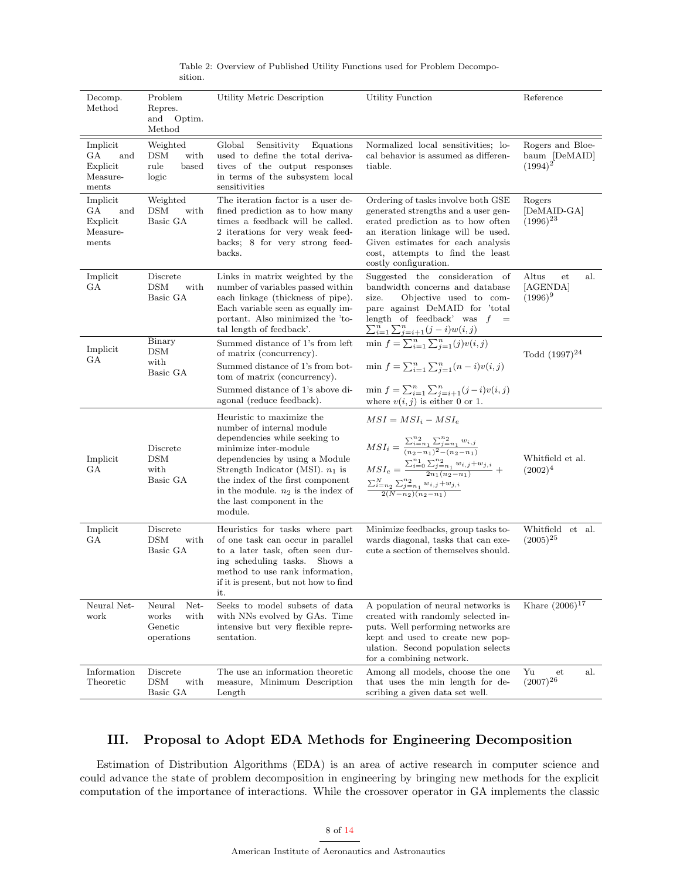| Decomp.<br>Method                                      | Problem<br>Repres.<br>and Optim.<br>Method               | Utility Metric Description                                                                                                                                                                                                                                                                                   | Utility Function                                                                                                                                                                                                                                                                                                                       | Reference                                       |
|--------------------------------------------------------|----------------------------------------------------------|--------------------------------------------------------------------------------------------------------------------------------------------------------------------------------------------------------------------------------------------------------------------------------------------------------------|----------------------------------------------------------------------------------------------------------------------------------------------------------------------------------------------------------------------------------------------------------------------------------------------------------------------------------------|-------------------------------------------------|
| Implicit<br>GА<br>and<br>Explicit<br>Measure-<br>ments | Weighted<br>DSM<br>with<br>rule<br>based<br>logic        | Global<br>Sensitivity<br>Equations<br>used to define the total deriva-<br>tives of the output responses<br>in terms of the subsystem local<br>sensitivities                                                                                                                                                  | Normalized local sensitivities; lo-<br>cal behavior is assumed as differen-<br>tiable.                                                                                                                                                                                                                                                 | Rogers and Bloe-<br>baum  DeMAID <br>$(1994)^2$ |
| Implicit<br>GА<br>and<br>Explicit<br>Measure-<br>ments | Weighted<br>DSM<br>with<br>Basic GA                      | The iteration factor is a user de-<br>fined prediction as to how many<br>times a feedback will be called.<br>2 iterations for very weak feed-<br>backs; 8 for very strong feed-<br>backs.                                                                                                                    | Ordering of tasks involve both GSE<br>generated strengths and a user gen-<br>erated prediction as to how often<br>an iteration linkage will be used.<br>Given estimates for each analysis<br>cost, attempts to find the least<br>costly configuration.                                                                                 | Rogers<br>[DeMAID-GA]<br>$(1996)^{23}$          |
| Implicit<br>GА                                         | Discrete<br><b>DSM</b><br>with<br>Basic GA               | Links in matrix weighted by the<br>number of variables passed within<br>each linkage (thickness of pipe).<br>Each variable seen as equally im-<br>portant. Also minimized the 'to-<br>tal length of feedback'.                                                                                               | Suggested the consideration of<br>bandwidth concerns and database<br>size.<br>Objective used to com-<br>pare against DeMAID for 'total<br>length of feedback' was $f$<br>$\hspace{1.6cm} = \hspace{1.6cm}$<br>$\frac{\sum_{i=1}^{n} \sum_{j=i+1}^{n} (j-i)w(i,j)}{\min f = \sum_{i=1}^{n} \sum_{j=1}^{n} (j)v(i,j)}$                   | Altus<br>et<br>al.<br>[AGENDA]<br>$(1996)^9$    |
| Implicit<br>GА                                         | Binary<br><b>DSM</b><br>with<br>Basic GA                 | Summed distance of 1's from left<br>of matrix (concurrency).<br>Summed distance of 1's from bot-<br>tom of matrix (concurrency).<br>Summed distance of 1's above di-<br>agonal (reduce feedback).                                                                                                            | min $f = \sum_{i=1}^{n} \sum_{j=1}^{n} (n-i)v(i,j)$<br>min $f = \sum_{i=1}^{n} \sum_{j=i+1}^{n} (j-i)v(i,j)$<br>where $v(i, j)$ is either 0 or 1.                                                                                                                                                                                      | Todd $(1997)^{24}$                              |
| Implicit<br>GА                                         | Discrete<br><b>DSM</b><br>with<br>Basic GA               | Heuristic to maximize the<br>number of internal module<br>dependencies while seeking to<br>minimize inter-module<br>dependencies by using a Module<br>Strength Indicator (MSI). $n_1$ is<br>the index of the first component<br>in the module. $n_2$ is the index of<br>the last component in the<br>module. | $MSI = MSI_i - MSI_e$<br>$MSI_i = \frac{\sum_{i=n_1}^{n_2} \sum_{j=n_1}^{n_2} w_{i,j}}{(n_2-n_1)^2 - (n_2-n_1)}$<br>$\begin{array}{l} MSI_{e}=\frac{\sum_{i=0}^{n_{1}}\sum_{j=n_{1}}^{n_{2}}w_{i,j}+w_{j,i}}{2n_{1}(n_{2}-n_{1})}+\frac{\sum_{i=n_{2}}^{N}\sum_{j=n_{1}}^{n_{2}}w_{i,j}+w_{j,i}}{2(N-n_{2})(n_{2}-n_{1})} \end{array}$ | Whitfield et al.<br>$(2002)^4$                  |
| Implicit<br>GА                                         | Discrete<br><b>DSM</b><br>with<br>Basic GA               | Heuristics for tasks where part<br>of one task can occur in parallel<br>to a later task, often seen dur-<br>ing scheduling tasks.<br>Shows a<br>method to use rank information,<br>if it is present, but not how to find<br>it.                                                                              | Minimize feedbacks, group tasks to-<br>wards diagonal, tasks that can exe-<br>cute a section of themselves should.                                                                                                                                                                                                                     | Whitfield et al.<br>$(2005)^{25}$               |
| Neural Net-<br>work                                    | Neural<br>Net-<br>works<br>with<br>Genetic<br>operations | Seeks to model subsets of data<br>with NNs evolved by GAs. Time<br>intensive but very flexible repre-<br>sentation.                                                                                                                                                                                          | A population of neural networks is<br>created with randomly selected in-<br>puts. Well performing networks are<br>kept and used to create new pop-<br>ulation. Second population selects<br>for a combining network.                                                                                                                   | Khare $(2006)^{17}$                             |
| Information<br>Theoretic                               | Discrete<br><b>DSM</b><br>with<br>Basic GA               | The use an information theoretic<br>measure, Minimum Description<br>Length                                                                                                                                                                                                                                   | Among all models, choose the one<br>that uses the min length for de-<br>scribing a given data set well.                                                                                                                                                                                                                                | Yu<br>al.<br>et<br>$(2007)^{26}$                |

Table 2: Overview of Published Utility Functions used for Problem Decomposition.

# III. Proposal to Adopt EDA Methods for Engineering Decomposition

Estimation of Distribution Algorithms (EDA) is an area of active research in computer science and could advance the state of problem decomposition in engineering by bringing new methods for the explicit computation of the importance of interactions. While the crossover operator in GA implements the classic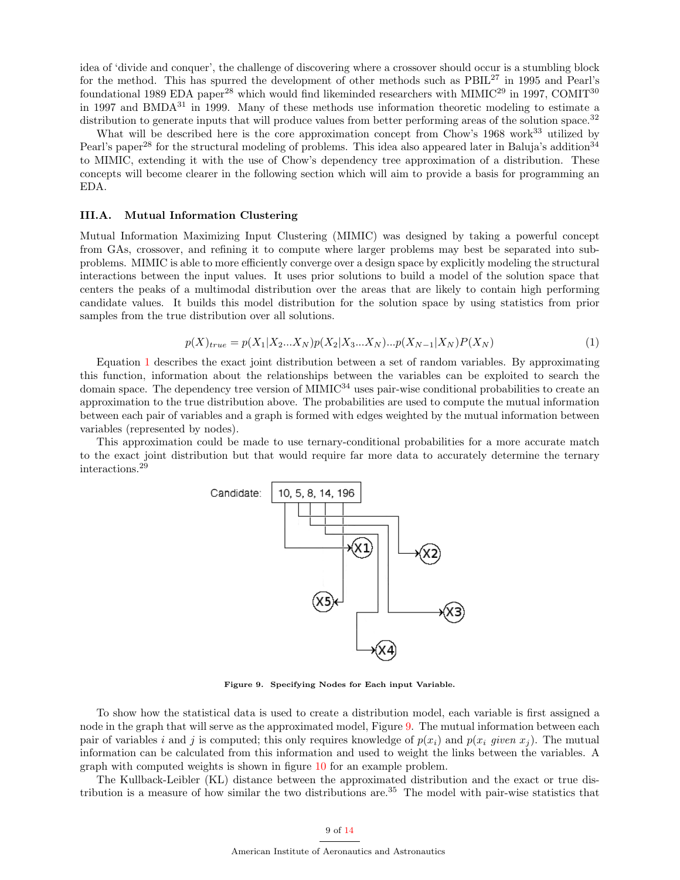idea of 'divide and conquer', the challenge of discovering where a crossover should occur is a stumbling block for the method. This has spurred the development of other methods such as PBIL<sup>27</sup> in 1995 and Pearl's foundational 1989 EDA paper<sup>28</sup> which would find likeminded researchers with MIMIC<sup>29</sup> in 1997, COMIT<sup>30</sup> in 1997 and BMDA<sup>31</sup> in 1999. Many of these methods use information theoretic modeling to estimate a distribution to generate inputs that will produce values from better performing areas of the solution space.<sup>32</sup>

What will be described here is the core approximation concept from Chow's 1968 work<sup>33</sup> utilized by Pearl's paper<sup>28</sup> for the structural modeling of problems. This idea also appeared later in Baluja's addition<sup>34</sup> to MIMIC, extending it with the use of Chow's dependency tree approximation of a distribution. These concepts will become clearer in the following section which will aim to provide a basis for programming an EDA.

#### III.A. Mutual Information Clustering

Mutual Information Maximizing Input Clustering (MIMIC) was designed by taking a powerful concept from GAs, crossover, and refining it to compute where larger problems may best be separated into subproblems. MIMIC is able to more efficiently converge over a design space by explicitly modeling the structural interactions between the input values. It uses prior solutions to build a model of the solution space that centers the peaks of a multimodal distribution over the areas that are likely to contain high performing candidate values. It builds this model distribution for the solution space by using statistics from prior samples from the true distribution over all solutions.

$$
p(X)_{true} = p(X_1|X_2...X_N)p(X_2|X_3...X_N)...p(X_{N-1}|X_N)P(X_N)
$$
\n(1)

<span id="page-8-0"></span>Equation [1](#page-8-0) describes the exact joint distribution between a set of random variables. By approximating this function, information about the relationships between the variables can be exploited to search the domain space. The dependency tree version of  $\text{MIMIC}^{34}$  uses pair-wise conditional probabilities to create an approximation to the true distribution above. The probabilities are used to compute the mutual information between each pair of variables and a graph is formed with edges weighted by the mutual information between variables (represented by nodes).

This approximation could be made to use ternary-conditional probabilities for a more accurate match to the exact joint distribution but that would require far more data to accurately determine the ternary interactions.<sup>29</sup>



<span id="page-8-1"></span>Figure 9. Specifying Nodes for Each input Variable.

To show how the statistical data is used to create a distribution model, each variable is first assigned a node in the graph that will serve as the approximated model, Figure [9.](#page-8-1) The mutual information between each pair of variables i and j is computed; this only requires knowledge of  $p(x_i)$  and  $p(x_i$  given  $x_j$ ). The mutual information can be calculated from this information and used to weight the links between the variables. A graph with computed weights is shown in figure [10](#page-9-0) for an example problem.

The Kullback-Leibler (KL) distance between the approximated distribution and the exact or true distribution is a measure of how similar the two distributions are.<sup>35</sup> The model with pair-wise statistics that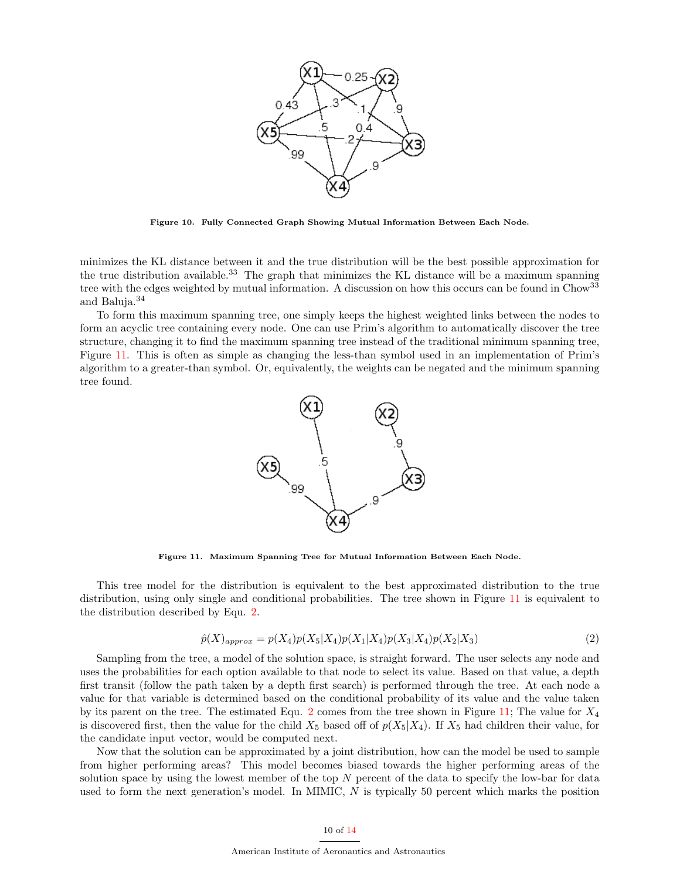

<span id="page-9-0"></span>Figure 10. Fully Connected Graph Showing Mutual Information Between Each Node.

minimizes the KL distance between it and the true distribution will be the best possible approximation for the true distribution available.<sup>33</sup> The graph that minimizes the KL distance will be a maximum spanning tree with the edges weighted by mutual information. A discussion on how this occurs can be found in Chow<sup>33</sup> and Baluja.<sup>34</sup>

To form this maximum spanning tree, one simply keeps the highest weighted links between the nodes to form an acyclic tree containing every node. One can use Prim's algorithm to automatically discover the tree structure, changing it to find the maximum spanning tree instead of the traditional minimum spanning tree, Figure [11.](#page-9-1) This is often as simple as changing the less-than symbol used in an implementation of Prim's algorithm to a greater-than symbol. Or, equivalently, the weights can be negated and the minimum spanning tree found.



<span id="page-9-1"></span>Figure 11. Maximum Spanning Tree for Mutual Information Between Each Node.

<span id="page-9-2"></span>This tree model for the distribution is equivalent to the best approximated distribution to the true distribution, using only single and conditional probabilities. The tree shown in Figure [11](#page-9-1) is equivalent to the distribution described by Equ. [2.](#page-9-2)

$$
\hat{p}(X)_{approx} = p(X_4)p(X_5|X_4)p(X_1|X_4)p(X_3|X_4)p(X_2|X_3)
$$
\n(2)

Sampling from the tree, a model of the solution space, is straight forward. The user selects any node and uses the probabilities for each option available to that node to select its value. Based on that value, a depth first transit (follow the path taken by a depth first search) is performed through the tree. At each node a value for that variable is determined based on the conditional probability of its value and the value taken by its parent on the tree. The estimated Equ. [2](#page-9-2) comes from the tree shown in Figure [11;](#page-9-1) The value for  $X_4$ is discovered first, then the value for the child  $X_5$  based off of  $p(X_5|X_4)$ . If  $X_5$  had children their value, for the candidate input vector, would be computed next.

Now that the solution can be approximated by a joint distribution, how can the model be used to sample from higher performing areas? This model becomes biased towards the higher performing areas of the solution space by using the lowest member of the top  $N$  percent of the data to specify the low-bar for data used to form the next generation's model. In MIMIC, N is typically 50 percent which marks the position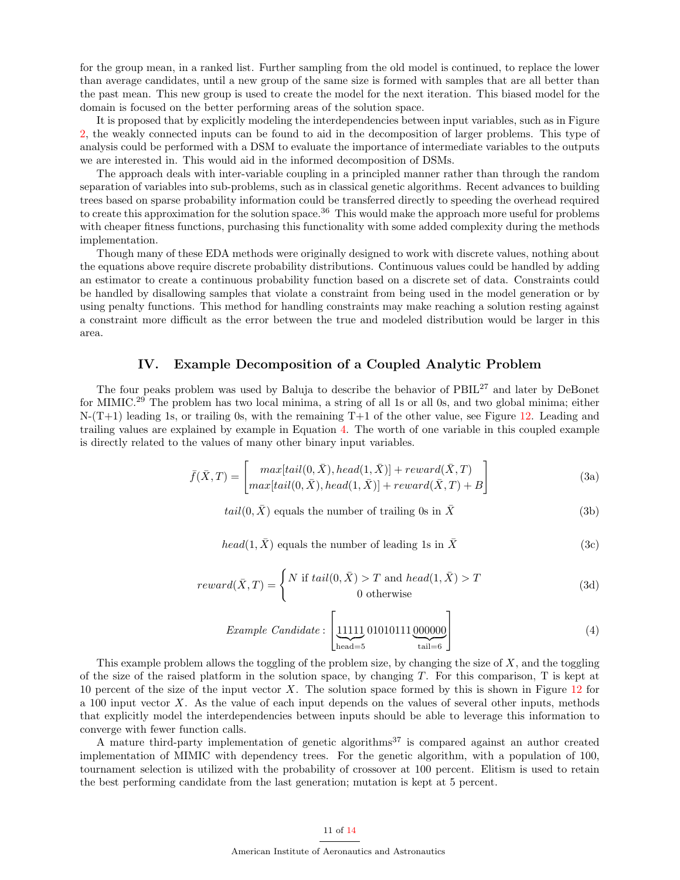for the group mean, in a ranked list. Further sampling from the old model is continued, to replace the lower than average candidates, until a new group of the same size is formed with samples that are all better than the past mean. This new group is used to create the model for the next iteration. This biased model for the domain is focused on the better performing areas of the solution space.

It is proposed that by explicitly modeling the interdependencies between input variables, such as in Figure [2,](#page-9-2) the weakly connected inputs can be found to aid in the decomposition of larger problems. This type of analysis could be performed with a DSM to evaluate the importance of intermediate variables to the outputs we are interested in. This would aid in the informed decomposition of DSMs.

The approach deals with inter-variable coupling in a principled manner rather than through the random separation of variables into sub-problems, such as in classical genetic algorithms. Recent advances to building trees based on sparse probability information could be transferred directly to speeding the overhead required to create this approximation for the solution space.<sup>36</sup> This would make the approach more useful for problems with cheaper fitness functions, purchasing this functionality with some added complexity during the methods implementation.

Though many of these EDA methods were originally designed to work with discrete values, nothing about the equations above require discrete probability distributions. Continuous values could be handled by adding an estimator to create a continuous probability function based on a discrete set of data. Constraints could be handled by disallowing samples that violate a constraint from being used in the model generation or by using penalty functions. This method for handling constraints may make reaching a solution resting against a constraint more difficult as the error between the true and modeled distribution would be larger in this area.

# IV. Example Decomposition of a Coupled Analytic Problem

The four peaks problem was used by Baluja to describe the behavior of PBIL<sup>27</sup> and later by DeBonet for MIMIC.<sup>29</sup> The problem has two local minima, a string of all 1s or all 0s, and two global minima; either  $N-(T+1)$  leading 1s, or trailing 0s, with the remaining  $T+1$  of the other value, see Figure [12.](#page-11-0) Leading and trailing values are explained by example in Equation [4.](#page-10-0) The worth of one variable in this coupled example is directly related to the values of many other binary input variables.

$$
\bar{f}(\bar{X},T) = \begin{bmatrix} max[tail(0,\bar{X}),head(1,\bar{X})] + reward(\bar{X},T) \\ max[tail(0,\bar{X}),head(1,\bar{X})] + reward(\bar{X},T) + B \end{bmatrix}
$$
(3a)

 $tail(0, \bar{X})$  equals the number of trailing 0s in  $\bar{X}$  (3b)

$$
head(1, \bar{X})
$$
 equals the number of leading 1s in  $\bar{X}$  (3c)

$$
reward(\bar{X}, T) = \begin{cases} N \text{ if } tail(0, \bar{X}) > T \text{ and } head(1, \bar{X}) > T \\ 0 \text{ otherwise} \end{cases}
$$
(3d)

$$
Example\text{ Candidate}: \left[\underbrace{11111}_{\text{head}=5} 01010111 \underbrace{000000}_{\text{tail}=6}\right] \tag{4}
$$

<span id="page-10-0"></span>This example problem allows the toggling of the problem size, by changing the size of  $X$ , and the toggling of the size of the raised platform in the solution space, by changing  $T$ . For this comparison,  $T$  is kept at 10 percent of the size of the input vector  $X$ . The solution space formed by this is shown in Figure  $12$  for a 100 input vector X. As the value of each input depends on the values of several other inputs, methods that explicitly model the interdependencies between inputs should be able to leverage this information to converge with fewer function calls.

A mature third-party implementation of genetic algorithms<sup>37</sup> is compared against an author created implementation of MIMIC with dependency trees. For the genetic algorithm, with a population of 100, tournament selection is utilized with the probability of crossover at 100 percent. Elitism is used to retain the best performing candidate from the last generation; mutation is kept at 5 percent.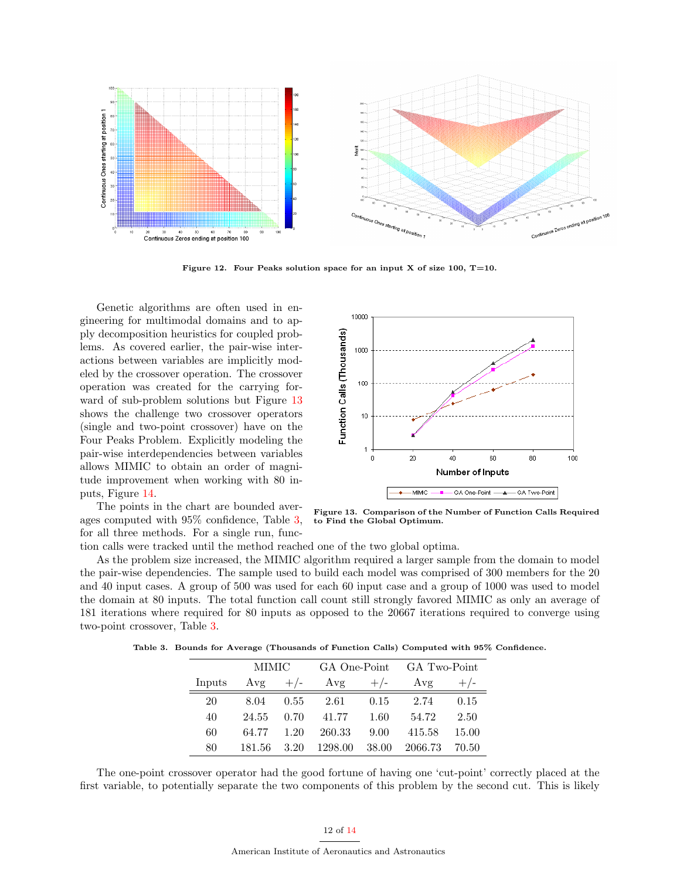

<span id="page-11-0"></span>Figure 12. Four Peaks solution space for an input X of size 100,  $T=10$ .

Genetic algorithms are often used in engineering for multimodal domains and to apply decomposition heuristics for coupled problems. As covered earlier, the pair-wise interactions between variables are implicitly modeled by the crossover operation. The crossover operation was created for the carrying forward of sub-problem solutions but Figure [13](#page-11-1) shows the challenge two crossover operators (single and two-point crossover) have on the Four Peaks Problem. Explicitly modeling the pair-wise interdependencies between variables allows MIMIC to obtain an order of magnitude improvement when working with 80 inputs, Figure [14.](#page-12-0)

The points in the chart are bounded averages computed with 95% confidence, Table [3,](#page-11-2) for all three methods. For a single run, func-



<span id="page-11-1"></span>Figure 13. Comparison of the Number of Function Calls Required to Find the Global Optimum.

tion calls were tracked until the method reached one of the two global optima.

As the problem size increased, the MIMIC algorithm required a larger sample from the domain to model the pair-wise dependencies. The sample used to build each model was comprised of 300 members for the 20 and 40 input cases. A group of 500 was used for each 60 input case and a group of 1000 was used to model the domain at 80 inputs. The total function call count still strongly favored MIMIC as only an average of 181 iterations where required for 80 inputs as opposed to the 20667 iterations required to converge using two-point crossover, Table [3.](#page-11-2)

Table 3. Bounds for Average (Thousands of Function Calls) Computed with 95% Confidence.

<span id="page-11-2"></span>

|        | <b>MIMIC</b> |      | GA One-Point |       | GA Two-Point |       |  |
|--------|--------------|------|--------------|-------|--------------|-------|--|
| Inputs | $Avg +/-$    |      | Avg          | $+/-$ | Avg          |       |  |
| 20     | 8.04         | 0.55 | 2.61         | 0.15  | 2.74         | 0.15  |  |
| 40     | 24.55        | 0.70 | 41.77        | 1.60  | 54.72        | 2.50  |  |
| 60     | 64.77        | 1.20 | 260.33       | 9.00  | 415.58       | 15.00 |  |
| 80     | 181.56       | 3.20 | 1298.00      | 38.00 | 2066.73      | 70.50 |  |

The one-point crossover operator had the good fortune of having one 'cut-point' correctly placed at the first variable, to potentially separate the two components of this problem by the second cut. This is likely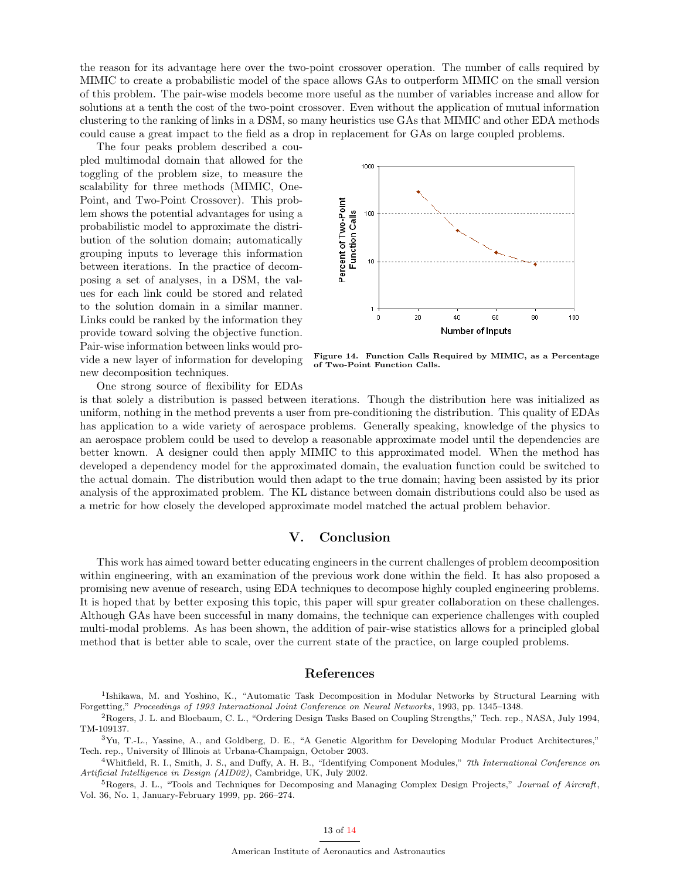the reason for its advantage here over the two-point crossover operation. The number of calls required by MIMIC to create a probabilistic model of the space allows GAs to outperform MIMIC on the small version of this problem. The pair-wise models become more useful as the number of variables increase and allow for solutions at a tenth the cost of the two-point crossover. Even without the application of mutual information clustering to the ranking of links in a DSM, so many heuristics use GAs that MIMIC and other EDA methods could cause a great impact to the field as a drop in replacement for GAs on large coupled problems.

The four peaks problem described a coupled multimodal domain that allowed for the toggling of the problem size, to measure the scalability for three methods (MIMIC, One-Point, and Two-Point Crossover). This problem shows the potential advantages for using a probabilistic model to approximate the distribution of the solution domain; automatically grouping inputs to leverage this information between iterations. In the practice of decomposing a set of analyses, in a DSM, the values for each link could be stored and related to the solution domain in a similar manner. Links could be ranked by the information they provide toward solving the objective function. Pair-wise information between links would provide a new layer of information for developing new decomposition techniques.



<span id="page-12-0"></span>Figure 14. Function Calls Required by MIMIC, as a Percentage of Two-Point Function Calls.

One strong source of flexibility for EDAs

is that solely a distribution is passed between iterations. Though the distribution here was initialized as uniform, nothing in the method prevents a user from pre-conditioning the distribution. This quality of EDAs has application to a wide variety of aerospace problems. Generally speaking, knowledge of the physics to an aerospace problem could be used to develop a reasonable approximate model until the dependencies are better known. A designer could then apply MIMIC to this approximated model. When the method has developed a dependency model for the approximated domain, the evaluation function could be switched to the actual domain. The distribution would then adapt to the true domain; having been assisted by its prior analysis of the approximated problem. The KL distance between domain distributions could also be used as a metric for how closely the developed approximate model matched the actual problem behavior.

# V. Conclusion

This work has aimed toward better educating engineers in the current challenges of problem decomposition within engineering, with an examination of the previous work done within the field. It has also proposed a promising new avenue of research, using EDA techniques to decompose highly coupled engineering problems. It is hoped that by better exposing this topic, this paper will spur greater collaboration on these challenges. Although GAs have been successful in many domains, the technique can experience challenges with coupled multi-modal problems. As has been shown, the addition of pair-wise statistics allows for a principled global method that is better able to scale, over the current state of the practice, on large coupled problems.

# References

<sup>1</sup>Ishikawa, M. and Yoshino, K., "Automatic Task Decomposition in Modular Networks by Structural Learning with Forgetting," Proceedings of 1993 International Joint Conference on Neural Networks , 1993, pp. 1345–1348.

<sup>2</sup>Rogers, J. L. and Bloebaum, C. L., "Ordering Design Tasks Based on Coupling Strengths," Tech. rep., NASA, July 1994, TM-109137.

<sup>3</sup>Yu, T.-L., Yassine, A., and Goldberg, D. E., "A Genetic Algorithm for Developing Modular Product Architectures," Tech. rep., University of Illinois at Urbana-Champaign, October 2003.

<sup>4</sup>Whitfield, R. I., Smith, J. S., and Duffy, A. H. B., "Identifying Component Modules," 7th International Conference on Artificial Intelligence in Design (AID02), Cambridge, UK, July 2002.

<sup>5</sup>Rogers, J. L., "Tools and Techniques for Decomposing and Managing Complex Design Projects," Journal of Aircraft, Vol. 36, No. 1, January-February 1999, pp. 266–274.